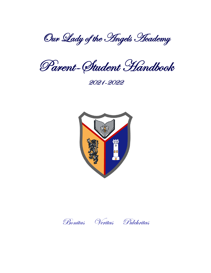Our Lady of the *Angels* Heademy

Parent-Student Handbook

2021-2022





Bonitas Veritas Pulchritas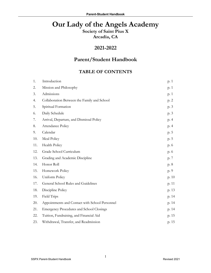# **Our Lady of the Angels Academy**

**Society of Saint Pius X Arcadia, CA**

# **2021-2022**

# **Parent/Student Handbook**

# **TABLE OF CONTENTS**

| 1.  | Introduction                                    | p. 1  |
|-----|-------------------------------------------------|-------|
| 2.  | Mission and Philosophy                          | p. 1  |
| 3.  | Admissions                                      | p. 1  |
| 4.  | Collaboration Between the Family and School     | p. 2  |
| 5.  | Spiritual Formation                             | p. 3  |
| 6.  | Daily Schedule                                  | p. 3  |
| 7.  | Arrival, Departure, and Dismissal Policy        | p. 4  |
| 8.  | Attendance Policy                               | p. 4  |
| 9.  | Calendar                                        | p. 5  |
| 10. | Meal Policy                                     | p. 5  |
| 11. | Health Policy                                   | p. 6  |
| 12. | Grade School Curriculum                         | p. 6  |
| 13. | Grading and Academic Discipline                 | p. 7  |
| 14. | Honor Roll                                      | p. 8  |
| 15. | Homework Policy                                 | p. 9  |
| 16. | Uniform Policy                                  | p. 10 |
| 17. | General School Rules and Guidelines             | p. 11 |
| 18. | Discipline Policy                               | p. 13 |
| 19. | Field Trips                                     | p. 14 |
| 20. | Appointments and Contact with School Personnel  | p. 14 |
| 21. | <b>Emergency Procedures and School Closings</b> | p. 14 |
| 22. | Tuition, Fundraising, and Financial Aid         | p. 15 |
| 23. | Withdrawal, Transfer, and Readmission           | p. 15 |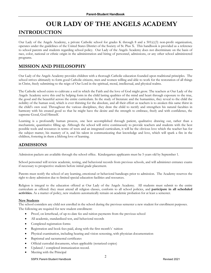# **OUR LADY OF THE ANGELS ACADEMY**

# **INTRODUCTION**

Our Lady of the Angels Academy, a private Catholic school for grades K through 8 and a 501(c)(3) non-profit organization, operates under the guidelines of the United States District of the Society of St. Pius X. This handbook is provided as a reference to school parents and students regarding school policy. Our Lady of the Angels Academy does not discriminate on the basis of race, color, national or ethnic origin in the administration and hiring of personnel, admissions, or any other school administered programs.

# **MISSION AND PHILOSOPHY**

Our Lady of the Angels Academy provides children with a thorough Catholic education founded upon traditional principles*.* The school strives ultimately to form good Catholic citizens, men and women willing and able to work for the restoration of all things in Christ, freely submitting to the reign of Our Lord in the spiritual, moral, intellectual, and physical realms.

The Catholic school exists to cultivate a soil in which the Faith and the love of God might grow. The teachers at Our Lady of the Angels Academy serve this end by helping form in the child lasting qualities of the mind and heart through exposure to the true, the good and the beautiful across the entire curriculum. In the study of literature and the humanities, they reveal to the child the nobility of the human soul, which is ever thirsting for the absolute, and all their effort as teachers is to awaken this same thirst in the child's own soul. Throughout the various disciplines, they draw the child to rectify and strengthen his natural faculties in harmony with his created good so that he might have the desire and the strength to embrace, freely and with confidence, the supreme Good, God Himself.

Learning is a profoundly human process, one best accomplished through patient, qualitative drawing out, rather than a mechanistic, quantitative filling up. Although the school will strive continuously to provide teachers and students with the best possible tools and resources in terms of texts and an integrated curriculum, it will be the obvious love which the teacher has for the subject matter, his mastery of it, and his talent in communicating that knowledge and love, which will spark a fire in the children, fostering in them a lifelong love of learning.

# **ADMISSIONS**

Admission packets are available through the school office. Kindergarten applicants must be 5 years old by September 1.

School personnel will review academic, testing, and behavioral records from previous schools, and will administer entrance exams if necessary to prospective students before initial grade placement.

Parents must notify the school of any learning, emotional or behavioral handicaps prior to admission. The Academy reserves the right to deny admission due to limited special education facilities and resources.

Religion is integral to the education offered at Our Lady of the Angels Academy. All students must submit to the entire curriculum as offered: they must attend all religion classes, conform to all school policies, and **participate in all scheduled activities.** As a matter of policy, new students automatically remain on academic probation for at least a semester.

#### **New Students**

The school considers any child not enrolled in the school during the previous semester a new student for enrollment purposes. The following are required for new student enrollment:

- Proof, on letterhead, of up-to-date fee and tuition payments from the previous school
- All academic, standardized test, and behavioral records
- Completed registration forms
- Registration and book fees paid, along with the first month's` tuition
- Physical examination, including hearing and vision screening, with physician documentation
- Baptismal and sacramental certificates
- Official custodial documents, when applicable (notarized copies)
- Updated / completed immunization record.
- Meeting with the Principal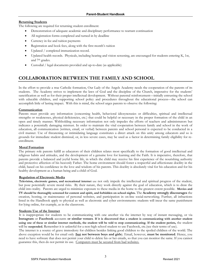#### **Returning Students**

The following are required for returning student enrollment:

- Demonstration of adequate academic and disciplinary performance to warrant continuation
- All registration forms completed and turned in by deadline
- Currency in fee and tuition payments
- Registration and book fees, along with the first month's tuition
- Updated / completed immunization record.
- Updated health records. Physicals, including hearing and vision screening, are encouraged for students entering K, 1st, and 7th grades.
- Custodial / legal documents provided and up-to-date (as applicable)

# **COLLABORATION BETWEEN THE FAMILY AND SCHOOL**

In the effort to provide a true Catholic formation, Our Lady of the Angels Academy needs the cooperation of the parents of its students. The Academy strives to implement the laws of God and the discipline of the Church, imperative for the students' sanctification as well as for their proper intellectual development. Without parental reinforcement—initially entrusting the school with educable children, and supporting school policy and procedures throughout the educational process—the school can accomplish little of lasting impact. With this is mind, the school urges parents to observe the following:

#### **Communication**

Parents must provide any information (concerning health, behavioral idiosyncrasies or difficulties, spiritual and intellectual strengths or weaknesses, physical deficiencies, etc.) that could be helpful or necessary in the proper formation of the child in an open and timely manner. Withholding necessary information not only impedes the efforts of teachers and administrators but indicates a potentially damaging mistrust. In order to maintain the vital cooperation between family and school in the work of education, all communication (written, email, or verbal) between parents and school personal is expected to be conducted in a civil manner. Use of threatening or intimidating language constitutes a direct attack on this unity among educators and so is grounds for immediate student dismissal, or, in less severe cases, may be used as a factor in determining family eligibility for reenrollment.

#### **Moral Formation**

The primary role parents fulfill as educators of their children relates most specifically to the formation of good intellectual and religious habits and attitudes, and the development of a genuine love for learning and the Faith. It is imperative, therefore, that parents provide a balanced and joyful home life, in which the child may receive his first experience of the nourishing authority and protective affection of his heavenly Father. The home environment should foster a respectful and affectionate docility in the child, based on his confidence in the love and wisdom of his parents. This docility is absolutely vital for his education and for his healthy development as a human being and a child of God.

#### **Regulation of Electronic Media**

**Television, electronic games, and recreational internet** use not only impede the intellectual and spiritual progress of the student, but pose potentially severe moral risks. By their nature, they work directly against the goal of education, which is to draw the child into reality. Parents are urged to minimize exposure to these media in the home to the greatest extent possible. **Movies and TV should be thoroughly screened for content and spirit, and forbidden on school nights.** The **Academy strongly discourages** the creation, hosting, or maintenance of personal websites, and participation in on-line social-networking. Further, all infractions listed in the Handbook apply to physical as well as electronic and cyber environments: students will incur the same punishment for lying online, for example, as in the classroom.

#### **Students Use of the Internet**

It is inappropriate for students to be communicating with one another via the internet by way of instant messaging, or via **Instagram** or **Facebook** accounts **or similar venues**. **If it is discovered that a student is communicating with another student using one of these or similar internet methods, the student will be told to stop communicating. If the student perists,** the student will be **suspended.** Remember it is unlawful for a non-high school student to use Facebook, etc.(see their terms of use).

The internet is a source of grave immodesty for children besides linking good children to the spoiled children of the world. The above exception would be for email only (**but not between boys and girls**). Email, however, **must be monitored**. Hence, you need to have software that does not permit your child to delete his or her emails, so that you can monitor the same. If you cannot guarantee this, then do not permit its use. Computers must be secured from bad websites.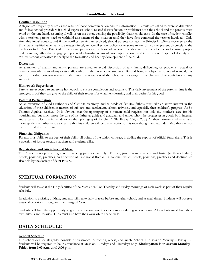#### **Conflict Resolution**

Antagonism frequently arises as the result of poor communication and misinformation. Parents are asked to exercise discretion and follow school procedure if a child expresses school related dissatisfaction or problems: both the school and the parents must avoid on the one hand, assuming ill will, or on the other, denying the possibility that it could exist. In the case of student conflict with a teacher, parents need to withhold assessment of the situation until they have first contacted the teacher involved. Only after this initial contact, and if the conflict remains unresolved, should parents contact the Principal. Direct recourse to the Principal is justified when an issue relates directly to overall school policy, or to some matter difficult to present discretely to the teacher or to the Vice Principal. In any case, parents are to please ask school officials about matters of concern to ensure proper understanding rather than engaging in potentially harmful judgment based upon secondhand information. A spirit of disunity and mistrust among educators is deadly to the formation and healthy development of the child.

#### **Discretion**

As a matter of charity and unity, parents are asked to avoid discussion of any faults, difficulties, or problems—actual or perceived—with the Academy or its staff, with or in the presence of students. Beyond being an objective source of scandal, this spirit of morbid criticism severely undermines the operation of the school and destroys in the children their confidence in any authority.

#### **Homework Supervision**

Parents are expected to supervise homework to ensure completion and accuracy. This daily investment of the parents' time is the strongest proof they can give to the child of their respect for what he is learning and their desire for his good.

#### **Paternal Participation**

As an extension of God's authority and Catholic hierarchy, and as heads of families, fathers must take an active interest in the education of their children in matters of subjects and curriculum, school activities, and especially their children's progress. As St. Thomas Aquinas teaches, "It is obvious that the upbringing of a human child requires not only the mother's care for his nourishment, but much more the care of his father as guide and guardian, and under whom he progresses in goods both internal and external ... On the father devolves the upbringing of the child." (IIa IIae q. 154, a. 2, c.) As their primary intellectual and moral guide, the father needs to realize that his children will be the reflection of his own thought and attitudes. May these reflect the truth and charity of God.

#### **Financial Obligation**

Parents must fulfill to the best of their ability all points of the tuition contract, including the support of official fundraisers. This is a question of justice towards teachers and students alike.

#### **Registration and Attendance at Mass**

The Academy is open to registered practicing parishioners only. Further, parent(s) must accept and foster (in their children) beliefs, positions, practices, and doctrine of Traditional Roman Catholicism, which beliefs, positions, practices and doctrine are also held by the Society of Saint Pius X.

# **SPIRITUAL FORMATION**

Students will assist at the Holy Sacrifice of the Mass at 8:00 on Tuesday and Friday mornings of each week as part of their regular schedule.

In addition to assisting at Mass, students will recite daily prayers before and after school, and at meal times. Students will observe seasonal devotions throughout the Liturgical Year.

Students will have the opportunity to go to confession two times each month during school hours. All students must have their own missals and rosaries. Girls must also have their own white chapel veils.

### **DAILY SCHEDULE**

#### **General Schedule**

The school day for all grades consists of classroom instruction, recess, and lunch. School is in session Monday – Friday. All Students will be required to be in attendance at Mass on Tuesdays and Thursdays only. **Kindergarten is in session Monday - Friday from 9:00 a.m. until 3:00 p.m.**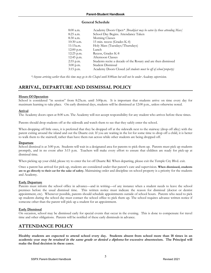#### **General Schedule**

| 8:00 a.m.  | Academy Doors Open* <i>[Breakfast may be eaten by those attending Mass</i> ] |
|------------|------------------------------------------------------------------------------|
| 8:25 a.m.  | School Day Begins. Attendance Taken                                          |
| 8:30 a.m.  | Morning Classes                                                              |
| 10:30 a.m. | 15 min. recess (Grades K-4)                                                  |
| 11:15a.m.  | Holy Mass (Tuesdays/Thursdays)                                               |
| 12:00 p.m. | Lunch                                                                        |
| 12:25 p.m. | Recess, Grades K-8                                                           |
| 12:45 p.m. | Afternoon Classes                                                            |
| 2:55 p.m.  | Students recite a decade of the Rosary and are then dismissed                |
| 3:00 p.m.  | Student Dismissal                                                            |
| 3:15 p.m.  | Academy Doors Closed (all students must be off of school property)           |

*\*Anyone arriving earlier than this time may go to the Chapel until 8:00am but will not be under Academy supervision.*

# **ARRIVAL, DEPARTURE AND DISMISSAL POLICY**

#### **Hours Of Operation**

School is considered "in session" from 8:25a.m. until 3:00p.m. It is important that students arrive on time every day for maximum learning to take place. On early dismissal days, students will be dismissed at 12:00 p.m., unless otherwise noted.

#### **Arrival**

The Academy doors open at 8:00 a.m. The Academy will not accept responsibility for any student who arrives before these times.

Parents should drop students off at the sidewalk and watch them to see that they safely enter the school.

When dropping off little ones, it is preferred that they be dropped off at the sidewalk next to the stairway (drop off alley) with the parent exiting around the island and out the Duarte exit. If you are waiting in the lot for some time to drop off a child, it is better to walk them to the stairwell, rather than have them run across while other students are being dropped off.

#### **Departure**

School dismissal is at 3:00 p.m. Students will wait in a designated area for parents to pick them up. Parents must pick up students promptly, and in no event after 3:15 p.m. Teachers will make every effort to ensure that children are ready for pick-up at dismissal time.

When picking up your child, please try to enter the lot off Duarte Rd. When departing, please exit the Temple City Blvd. exit.

Once a parent has arrived for pick-up, students are considered under that parent's care and supervision. **When dismissed, students are to go directly to their car for the sake of safety.** Maintaining order and discipline on school property is a priority for the students and Academy.

#### **Early Departure**

Parents must inform the school office in advance—and in writing—of any instance when a student needs to leave the school premises before the usual dismissal time. This written notice must indicate the reason for dismissal (doctor or dentist appointment, etc). Whenever possible, parents should schedule appointments outside of school hours. Parents who need to pick up students during the school day must contact the school office to pick them up. The school requires advance written notice if someone other than the parent will pick up a student for an appointment.

#### **Early Dismissal**

On occasion, school may be dismissed early for special events that occur in the evening. This is done to compensate for travel time and other obligations. Parents will be notified of these early dismissals in advance.

# **ATTENDANCE POLICY**

**Healthy students are expected to attend school every day. Students absent from school more than 18 times in an academic year may be retained in the same grade or denied a diploma for excessive absenteeism. The Principal will make the final decision in these cases.**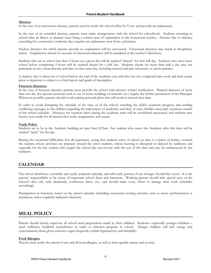#### **Absence**

In the case of an unforeseen absence, parents need to notify the school office by 9 a.m. and provide an explanation.

In the case of an extended absence, parents must make arrangements with the school for schoolwork. Students returning to school after an illness or absence must bring a written note of explanation to the homeroom teacher. Absence due to sickness exceeding five consecutive academic days requires an explanatory note from a physician.

Student absences for which parents provide no explanation will be unexcused. Unexcused absences may result in disciplinary action. Assignments missed on account of unexcused absences will be penalized at the teacher's discretion.

Students who are at school less than 2 hours on a given day will be marked "absent" for that full day. Students who must leave school before completing 4 hours will be marked absent for a half day. Students absent for more than half a day may not participate in any extracurricular activities on that same day, including musical and play rehearsals, or sports practice.

A student who is taken out of school before the end of the academic year and who has not completed class work and final exams prior to departure is subject to a final report card grade of Incomplete.

#### **Foreseen Absences**

In the case of foreseen absence, parents must provide the school with advance written notification. Planned absences of more than one day (for special occasions such as out-of-town weddings or funerals, etc.) require the further permission of the Principal. Whenever possible, parents should avoid making personal plans that will result in missed class time.

In order to avoid disrupting the schedule of the class or of the school, retarding the child's academic progress, and sending conflicting messages to the children regarding the importance of academics and duty of state, families must plan vacations outside of the school schedule. Absences for vacation taken during the academic term will be considered unexcused, and students may receive zero credit for all missed class work, assignments, and exams.

#### **Tardy Policy**

Students are to be in the Academy building no later than 8:25am. Any student who enters the Academy after this time will be marked "tardy" for the day.

Barring the occasional difficulties that all experience, seeing that students arrive at school on time is a matter of justice—toward the teacher, whose activities are planned; toward the other students, whose learning is disrupted or delayed by tardiness; and especially for the late student who begins the school day out-of-sync with the rest of the class and may be embarrassed by the tardiness.

### **CALENDAR**

The school distributes a monthly and yearly academic calendar, and will notify parents of any changes should they occur. It is the parents' responsibility to be aware of important school dates and functions. Working parents should take special note of the school's days off, early dismissals, conference dates, etc., and should make every effort to arrange their work schedules accordingly.

Participation in functions noted on the school calendar (including occasional evening activities such as music performances) is mandatory unless explicitly indicated otherwise.

### **MEAL POLICY**

Parents should closely supervise all school meal preparations made by their children. Students—especially younger children need sufficient, healthful nourishment in order to function properly in school. Hungry children will lack energy and concentration; those given excessive sugar frequently exhibit hyperactivity and irritability.

#### **Food Allergies**

Parents must notify the school of any and all food allergies, as well as their specific nature and severity.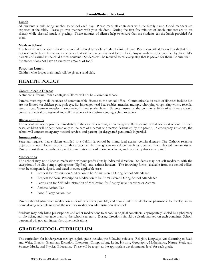#### **Lunch**

All students should bring lunches to school each day. Please mark all containers with the family name. Good manners are expected at the table. Please go over manners with your children. During the first few minutes of lunch, students are to eat silently while classical music is playing. These minutes of silence help to ensure that the students eat the lunch provided for them.

#### **Meals at School**

Teachers will not be able to heat up your child's breakfast or lunch, due to limited time. Parents are asked to send meals that do not need to be heated or to use a container that will help retain the heat for the food. Any utensils must be provided by the child's parents and carried in the child's meal container. Students will be required to eat everything that is packed for them. Be sure that the student does not have an excessive amount of food.

#### **Forgotten Lunch**

Children who forget their lunch will be given a sandwich.

### **HEALTH POLICY**

#### **Communicable Disease**

A student suffering from a contagious illness will not be allowed in school.

Parents must report all instances of communicable disease to the school office. Communicable diseases or illnesses include but are not limited to: chicken pox, pink eye, flu, impetigo, head lice, scabies, measles, mumps, whooping cough, ring worm, roseola, strep throat, German measles, mononucleosis, and scarlet fever. Parents unsure of the communicability of an illness should consult a medical professional and call the school office before sending a child to school.

#### **Illness and Injury**

The school will notify parents immediately in the case of a serious, non-emergency illness or injury that occurs at school. In such cases, children will be sent home only in the care of a parent or a person designated by the parent. In emergency situations, the school will contact emergency medical services and parents (or designated personnel) in parallel.

#### **Immunizations**

State law requires that children enrolled in a California school be immunized against certain diseases. The Catholic religious objection is not allowed except for those vaccines that are grown on cell-culture lines obtained from aborted human tissue. Parents must therefore submit a pupil immunization record upon enrollment, and provide updates as required.

#### **Medications**

The school may not dispense medication without professionally indicated direction. Students may not self-medicate, with the exception of insulin pumps, epinephrine (EpiPen), and asthma inhalers. The following forms, available from the school office, must be completed, signed, and dated in every applicable case:

- Request for Prescription Medication to be Administered During School Attendance
- Request for Non- Prescription Medication to be Administered During School Attendance
- Permission for Self-Administration of Medication for Anaphylactic Reactions or Asthma
- Asthma Action Plan
- Food Allergy Action Plan

Parents should administer medication at home whenever possible, and should ask their doctor or pharmacist to develop an athome dosing schedule to avoid the need for medication administration at school.

Students may only bring prescriptions and other medications to school in original containers, appropriately labeled by a pharmacy or physician, and must give them to the school secretary. Dosing directions should be clearly marked on each container. School personnel will not administer first-time medications.

# **GRADE SCHOOL CURRICULUM**

The curriculum for kindergarten through eighth grade includes the following subjects: Religion, Language Arts (Learning to Read and Write, English Grammar, Dictation, Literature, Composition), Latin, History, Geography, Mathematics, Nature Study and Science, Music, and Physical Education. These will be taught at the appropriate developmental level for each grade.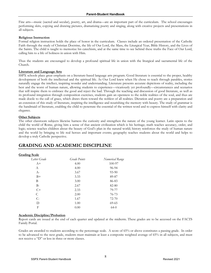Fine arts—music (sacred and secular), poetry, art, and drama—are an important part of the curriculum. The school encourages performing skits, copying and drawing pictures, dramatizing poetry and singing, along with creative projects and presentations in all subjects.

#### **Religious Instruction**

Formal religion instruction holds the place of honor in the curriculum. Classes include an ordered presentation of the Catholic Faith through the study of Christian Doctrine, the life of Our Lord, the Mass, the Liturgical Year, Bible History, and the Lives of the Saints. The child is taught to memorize his catechism, and at the same time to see behind these truths the Face of Our Lord, calling him to a life of holiness in union with Him.

Thus the students are encouraged to develop a profound spiritual life in union with the liturgical and sacramental life of the Church.

#### **Literature and Language Arts**

SSPX schools place great emphasis on a literature-based language arts program. Good literature is essential to the proper, healthy development of both the intellectual and the spiritual life. As Our Lord knew when He chose to teach through parables, stories naturally engage the intellect, inspiring wonder and understanding. Literature presents accurate depictions of reality, including the best and the worst of human nature, allowing students to experience—vicariously yet profoundly—circumstances and scenarios that will inspire them to embrace the good and reject the bad. Through the teaching and discussion of good literature, as well as its profound integration through composition exercises, students gain an openness to the noble realities of the soul, and thus are made docile to the call of grace, which draws them toward the noblest of all realities. Dictation and poetry are a preparation and an extension of this study of literature, inspiring the intelligence and nourishing the memory with beauty. The study of grammar is the handmaid of literature, enabling the child to penetrate the essential of the written word and to express himself with clarity and elegance.

#### **Other Subjects**

The other classroom subjects likewise harness the curiosity and strengthen the nature of the young learner. Latin opens to the child the world of Rome, giving him a sense of that ancient civilization which is his heritage; math teaches accuracy, order, and logic; science teaches children about the beauty of God's plan in the natural world; history reinforces the study of human nature and the world by bringing to life real heroes and important events; geography teaches students about the world and helps to develop a truly Catholic perspective.

# **GRADING AND ACADEMIC DISCIPLINE**

#### **Grading Scale**

| <u></u>             |                 |  |  |  |
|---------------------|-----------------|--|--|--|
| <b>Grade Points</b> | Numerical Range |  |  |  |
| 4.00                | 100-97          |  |  |  |
| 4.00                | 96-94           |  |  |  |
| 3.67                | 93-90           |  |  |  |
| 3.33                | 89-87           |  |  |  |
| 3.00                | 86-83           |  |  |  |
| 2.67                | 82-80           |  |  |  |
| 2.33                | 79-77           |  |  |  |
| 2.00                | 76-73           |  |  |  |
| 1.67                | 72-70           |  |  |  |
| 1.00                | $69 - 65$       |  |  |  |
| 0.00                | $64-0$          |  |  |  |
|                     |                 |  |  |  |

#### **Academic Discipline/Probation**

Report cards are issued at the end of each quarter and updated at the midterm. These grades are to be accessed on the FACTS Family Portal.

Grades are awarded to students according to the percentage scale. A score of 65% or above constitutes a passing grade. In order to be advanced to the next grade, students must maintain at least a composite weighted average of 65% in all subjects, and must not receive a "D" or less in three or more classes.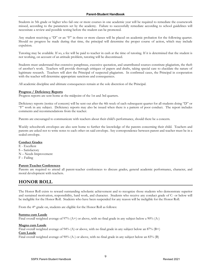Students in 5th grade or higher who fail one or more courses in one academic year will be required to remediate the coursework missed, according to the parameters set by the academy. Failure to successfully remediate according to school guidelines will necessitate a review and possible testing before the student can be promoted.

Any student receiving a "D" or an "F" in three or more classes will be placed on academic probation for the following quarter. Should no progress be made during that time, the principal will determine the proper course of action, which may include expulsion.

Tutoring may be available. If so, a fee will be paid to teacher in cash at the time of tutoring. If it is determined that the student is not working, on account of an attitude problem, tutoring will be discontinued.

Students must understand that extensive paraphrase, excessive quotation, and unattributed sources constitute plagiarism, the theft of another's work. Teachers will provide thorough critiques of papers and drafts, taking special care to elucidate the nature of legitimate research. Teachers will alert the Principal of suspected plagiarism. In confirmed cases, the Principal in cooperation with the teacher will determine appropriate sanctions and consequences.

All academic discipline and ultimate consequences remain at the sole discretion of the Principal.

#### **Progress / Deficiency Reports**

Progress reports are sent home at the midpoint of the 1st and 3rd quarters.

Deficiency reports (notice of concern) will be sent out after the 4th week of each subsequent quarter for all students doing "D" or "F" work in any subject. Deficiency reports may also be issued when there is a pattern of poor conduct. The report includes comments and recommendations from the teacher.

Parents are encouraged to communicate with teachers about their child's performance, should there be a concern.

Weekly schoolwork envelopes are also sent home to further the knowledge of the parents concerning their child. Teachers and parents are asked not to write notes to each other on said envelope. Any correspondence between parent and teacher must be in a sealed envelope.

#### **Conduct Grades**

- E Excellent
- S Satisfactory
- N Needs Improvement
- F Failing

#### **Parent-Teacher Conferences**

Parents are required to attend all parent-teacher conferences to discuss grades, general academic performance, character, and moral development with teachers.

# **HONOR ROLL**

The Honor Roll exists to reward outstanding scholastic achievement and to recognize those students who demonstrate superior and sustained motivation, responsibility, hard work, and character. Students who receive any conduct grade of C- or below will be ineligible for the Honor Roll. Students who have been suspended for any reason will be ineligible for the Honor Roll.

From the 4<sup>th</sup> grade on, students are eligible for the Honor Roll as follows:

#### **Summa cum Laude**

Final overall weighted average of 97% (A+) or above, with no final grade in any subject below a 90% (A-)

#### **Magna cum Laude**

Final overall weighted average of 94% (A) or above, with no final grade in any subject below an 87% (B+) **Cum Laude**

Final overall weighted average of 90% (A-) or above, with no final grade in any subject below an 83% (B)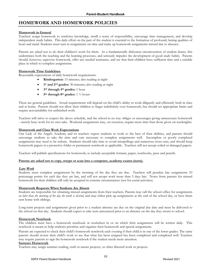# **HOMEWORK AND HOMEWORK POLICIES**

#### **Homework in General**

Teachers assign homework to reinforce knowledge, instill a sense of responsibility, encourage time management, and develop independent study habits. This daily effort on the part of the student is essential to the formation of profound, lasting qualities of heart and mind. Students must turn in assignments on time and make up homework assignments missed due to absence.

Parents are asked not to do their children's work for them. As a fundamentally dishonest circumvention of student duties, this undermines both the teaching and the learning processes, and seriously impedes the development of good study habits. Parents should, however, supervise homework, offer any needed assistance, and see that their children have sufficient time and a suitable place in which to complete assignments.

#### **Homework Time Guidelines**

Reasonable expectations of daily homework requirements:

- **Kindergarten:** 15 minutes; also reading at night
- **1st and 2nd grades:** 30 minutes; also reading at night
- **3rd through 4th grades:** 1 hour
- **5th through 8th grades:** 1 ½ hours

These are general guidelines. Actual requirements will depend on the child's ability to work diligently and efficiently both in class and at home. Parents should not allow their children to linger indefinitely over homework, but should set appropriate limits and require accountability for unfinished work.

Teachers will strive to respect the above schedule, and the school in no way obliges or encourages giving unnecessary homework – merely busy-work for its own sake. Weekend assignments may, on occasion, require more time than those given on weeknights.

#### **Homework and Class Work Expectations**

Our Lady of the Angels Academy and its teachers expect students to work to the best of their abilities, and parents should encourage students to take the time and care necessary to complete assignments well. Incomplete or poorly completed assignments may need to be redone. Students should take time to avoid misspellings and numerous cross-outs, and should keep homework papers in a protective folder or permanent notebook as applicable. Teachers will not accept soiled or damaged papers.

Teachers will publish specifications for homework, to include acceptable formats, paper, notebooks, pens and pencils.

#### **Parents are asked not to copy, retype or scan into a computer, academy exams (tests).**

#### **Late Work**

Students must complete assignments by the morning of the day they are due. Teachers will penalize late assignments 10 percentage points for each day they are late, and will not accept work more than 5 days late. Notes from parents for missed homework for their children will only be accepted in extreme circumstances (not for social activities).

#### **Homework Requests When Students Are Absent**

Students are responsible for obtaining missed assignments from their teachers. Parents may call the school office for assignments *no later than the morning of the day the work is desired*, and may either pick up assignments at the end of the school day, or have them sent home with siblings.

Long-term projects and assignments given prior to a student absence are due on the original due date and must be delivered to the school on that day. Students should expect to take tests announced prior to an absence on the day they return to school.

#### **Homework Notebook**

The children must have a homework notebook or worksheet in or on which their assignments will be written daily. This notebook is meant to help students prioritize and organize their homework and special assignments.

Parents are expected to check their child's homework notebook each evening if their child is in one of the lower grades. The same parents should review their child's work to see that what has been assigned has been completed and completed well. Teachers may require parents to sign the homework notebook if the student needs more attention.

#### **Summer Homework**

Teachers may assign summer reading, craft or nature projects, or other directed work or projects.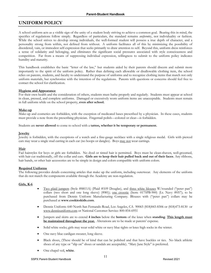# **UNIFORM POLICY**

A school uniform acts as a visible sign of the unity of a student body striving to achieve a common goal. Bearing this in mind, the specifics of regulations follow simply. Regardless of particulars, the standard remains *uniform*ity, not individuality or fashion. While the school strives to develop strong individuals, the well-formed student will possess a true depth of character, and a personality strong from within, not defined from without. A uniform facilitates all of this by minimizing the possibility of disordered, vain, or immodest self-expression that seeks primarily to draw attention to self. Beyond this, uniform dress reinforces a sense of solidarity and belonging, and eliminates the significant social pressures associated with style consciousness and competition. Far from a means of suppressing individual expression, willingness to submit to the uniform policy indicates humility and maturity.

This handbook establishes the basic "letter of the law," but students aided by their parents should discern and submit more importantly to the spirit of the uniform policy. Rather than defining each allowable or disallowable clothing item, the school relies on parents, students, and faculty to understand the purpose of uniforms and to recognize clothing items that match not only uniform materials, but synchronize with the intention of the regulations. Parents with questions or concerns should feel free to contact the school for clarification.

#### **Hygiene and Appearance**

For their own health and the consideration of others, students must bathe properly and regularly. Students must appear at school in clean, pressed, and complete uniforms. Damaged or excessively worn uniform items are unacceptable. Students must remain in full uniform while on the school property, **even after school.**

#### **Make-up**

Make-up and cosmetics are forbidden, with the exception of medicated bases prescribed by a physician. In these cases, students must provide a note from the prescribing physician. Fingernail polish—colored or clear—is forbidden.

Students are **never allowed** to come to school with a **tattoo, whether it be temporary or permanent.**

#### **Jewelry**

Jewelry is forbidden, with the exceptions of a watch and a fine-gauge necklace with a single religious medal. Girls with pierced ears may wear a single stud earring in each ear (no hoops or dangles). Boys may not wear earrings.

#### **Hair**

Fad hairstyles for boys or girls are forbidden. No dyed or tinted hair is permitted. Boys must be clean-shaven, well-groomed, with hair cut traditionally, off the collar and ears. **Girls are to keep their hair pulled back and out of their faces**. Any ribbons, hair bands, or other hair accessories are to be simple in design and colors compatible with uniform colors.

#### **Required Uniforms**

The following provides details concerning articles that make up the uniform, including outerwear. Any elements of the uniform that do not match the components available through the Academy are non-regulation.

#### **Girls, K-6**

- Two plaid jumpers (Style #8811A) (Plaid #109 Douglas), and three white blouses W/rounded ("peter pan") collars (two short and one long sleeve) (#80)); <u>one crosstie</u> (Item: 0175PB-900) (Lt. Navy #057); to be purchased from Dennis Uniform Manufacturing Company. Blouses with ("peter pan") collars may be purchased at **www.cookieskids.com**.
- Dennis Uniform: 640 North San Fernando Road, Los Angeles, CA 90065 (818)843-8306 or (818)473-8130 or www.dennisuniform.com or National Customer Service: 800-854-6951
- Jumpers and skirts are to extend **4 inches** below the **bottom** of the knee when **standing**. **This length must be maintained throughout the year.** Alterations are to be made at parents' expense.
- Solid white socks; girls may wear solid white or navy blue tights or knee high socks in the winter.
- One navy blue cardigan sweater, long sleeve.
- Black shoes, (These should be of kind that can be polished and that have buckles or ties. No black athletic shoes of any type or "slip on" shoes or sandals are acceptable). "Mary Jane Style" is preferred.
- One chapel veil, **white**.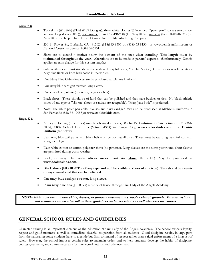#### **Girls, 7-8**

- Two skirts (#1886A) (Plaid #109 Douglas), three white blouses W/rounded ("peter pan") collars ((two short and one long sleeve) (#80)); <u>one crosstie</u> (Item: 0175PB-900) (Lt. Navy #057); <u>one vest</u> (Item: 020870-931) (Lt. Navy #057) to be purchased from Dennis Uniform Manufacturing Company.
- 250 S. Flower St., Burbank, CA 91502, (818)843-8306 or (818)473-8130 or www.dennisuniform.com or National Customer Service: 800-854-6951
- Skirts are to extend **4 inches** below the **bottom** of the knee when **standing**. **This length must be maintained throughout the year.** Alterations are to be made at parents' expense. (Unfortunately, Dennis applies an extra charge for this custom length.)
- Solid white socks (must rise above the ankle dressy fold over, "Bobbie Socks"). Girls may wear solid white or navy blue tights or knee high socks in the winter.
- One Navy Blue Gabardine vest (to be purchased at: Dennis Uniform).
- One navy blue cardigan sweater, long sleeve.
- One chapel veil, **white** (not ivory, beige or silver).
- Black shoes, (These should be of kind that can be polished and that have buckles or ties. No black athletic shoes of any type or "slip on" shoes or sandals are acceptable). "Mary Jane Style" is preferred.
- Note: The white peter pan collar blouses and navy cardigan may also be purchased at Michael's Uniforms in San Fernando (818-361-2055)or **www.cookieskids.com**.

#### **Boys, K-8**

- All boy's clothing (except ties) may be obtained at **Sears, Michael's Uniforms in San Fernando** (818-361- 2055), **CKW School Uniforms** (626-287-1994) in Temple City, **www.cookieskids.com** or at **Dennis Uniform** (see below).
- Plain navy blue twill pants with black belt must be worn at all times. These must be waist high and full cut with straight cut legs.
- Plain white cotton or cotton-polyester shirts (no patterns). Long sleeves are the norm year round; short sleeves are permitted during warm weather.
- Black, or navy blue socks (**dress socks**, must rise **above** the ankle). May be purchased at **www.cookieskids.com**.
- **Black shoes (NO BOOTS of any type and no black athletic shoes of any type).** They should be a **semidressy/casual kind** that **can be polished**.
- One **navy blue** cardigan **sweater, long sleeve**.
- **Plain navy blue ties** (\$10.00 ea) must be obtained through Our Lady of the Angels Academy.

**NOTE: Girls must wear modest skirts, dresses, or jumpers whenever on school or church grounds. Parents, visitors and volunteers are asked to follow these guidelines and expectations as well whenever on campus.**

# **GENERAL SCHOOL RULES AND GUIDELINES**

Character training is an important element of the education at Our Lady of the Angels Academy. The school expects loyalty, respect and good manners, as well as immediate, cheerful cooperation from all students. Good discipline results, in large part, from the natural response students have to a gentle but firm command of respect rather than a rigid enforcement of a long list of rules. However, the school imposes certain rules to maintain order, and to help students develop the habits of discipline, courtesy, etiquette, and culture necessary for intellectual and spiritual advancement.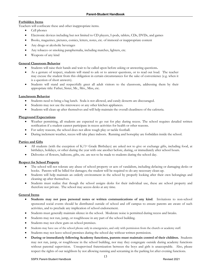#### **Forbidden Items**

Teachers will confiscate these and other inappropriate items.

- Cell phones
- Electronic devices including but not limited to CD players, I-pods, tablets, CDs, DVDs, and games
- Books, magazines, pictures, comics, letters, notes, etc. of immoral or inappropriate content
- Any drugs or alcoholic beverages
- Any tobacco or smoking paraphernalia, including matches, lighters, etc.
- Weapons of any kind

#### **General Classroom Behavior**

- Students will raise their hands and wait to be called upon before asking or answering questions**.**
- As a gesture of respect, students will stand to ask or to answer questions, or to read out loud. The teacher may excuse the student from this obligation in certain circumstances for the sake of convenience (e.g. when it is a question of short answers).
- Students will stand and respectfully greet all adult visitors to the classroom, addressing them by their appropriate title: Father, Sister, Mr., Mrs., Miss, etc.

#### **Lunchroom Behavior**

- Students need to bring a bag lunch. Soda is not allowed, and candy desserts are discouraged.
- Students may not use the microwave or any other kitchen appliances.
- Students will clean up after themselves and will help maintain the overall cleanliness of the cafeteria.

#### **Playground Expectations**

- Weather permitting, all students are expected to go out for play during recess. The school requires detailed written notification if a student cannot participate in recess activities for health or other reasons.
- For safety reasons, the school does not allow rough play or tackle football.
- During inclement weather, recess will take place indoors. Running and horseplay are forbidden inside the school.

#### **Parties and Gifts**

- All students (with the exception of  $K/1^{st}$  Grade Birthdays) are asked not to give or exchange gifts, including food, at birthdays, holidays, or other during the year with one another before, during, or immediately after school hours.
- Deliveries of flowers, balloons, gifts, etc. are not to be made to students during the school day.

#### **Respect for School Property**

- The school will not tolerate any abuse of school property or acts of vandalism, including defacing or damaging desks or books. Parents will be billed for damages; the student will be required to do any necessary clean-up.
- Students will help maintain an orderly environment in the school by properly looking after their own belongings and cleaning up after themselves.
- Students must realize that though the school assigns desks for their individual use, these are school property and therefore not private. The school may access desks at any time.

#### **General Items**

- **Students may not pass personal notes or written communications of any kind**. Invitations to non-school sponsored social events should be distributed outside of school and off campus to ensure parents are aware of such activities, and to preclude any implication of school endorsement.
- Students must generally maintain silence in the school. Moderate noise is permitted during recess and breaks.
- Students may not run, jump, or roughhouse in any part of the school building.
- Students may not chew gum on school premises.
- Students may have use of the school phone only in emergencies, and only with permission from the church or academy staff.
- Students may not leave school premises during the school day without written permission.
- **During or immediately following Academy functions, parents must maintain control of their children.** Students may not run, jump, or roughhouse in the school building, nor may they congregate outside during academy functions without parental supervision. Unsupervised fraternization between the boys and girls is unacceptable. Also, please respect the rights of our neighbors by not allowing running and screaming in the parking lot after evening functions.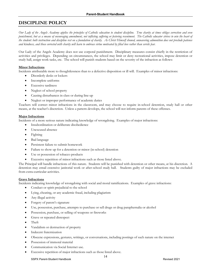# **DISCIPLINE POLICY**

*Our Lady of the Angels Academy applies the principles of Catholic education to student discipline. True charity at times obliges correction and even punishment, but as a means of encouraging amendment, not inflicting suffering or fostering resentment. The Catholic educator strives to win the heart of the student: both instruction and discipline rest on a foundation of charity. As Christ Himself showed, unwavering admonition does not preclude patience and kindness, and those corrected with charity will learn to embrace virtue motivated by filial love rather than servile fear.*

Our Lady of the Angels Academy does not use corporal punishment. Disciplinary measures consist chiefly in the restriction of activities and privileges. Depending on circumstances, the school may limit or deny recreational activities, impose detention or study hall, assign work tasks, etc. The school will punish students based on the severity of the infraction as follows:

#### **Minor Infractions**

Incidents attributable more to thoughtlessness than to a defective disposition or ill will. Examples of minor infractions:

- Disorderly desks or lockers
- Incomplete uniforms
- **Excessive tardiness**
- Neglect of school property
- Causing disturbances in class or during line-up
- Neglect or improper performance of academic duties

Teachers will correct minor infractions in the classroom, and may choose to require in-school detention, study hall or other means, at the teacher's discretion. Unless a pattern develops, the school will not inform parents of these offenses.

#### **Major Infractions**

Incidents of a more serious nature indicating knowledge of wrongdoing. Examples of major infractions:

- Insubordination or deliberate disobedience
- Unexcused absence
- **Fighting**
- Bad language
- Persistent failure to submit homework
- Failure to show up for a detention or minor (in-school) detention
- Use or possession of tobacco products
- Excessive repetition of minor infractions such as those listed above.

The Principal will handle infractions of this nature. Students will be punished with detention or other means, at his discretion. A detention may entail extensive janitorial work or after-school study hall. Students guilty of major infractions may be excluded from extra-curricular activities.

#### **Grave Infractions**

Incidents indicating knowledge of wrongdoing with social and moral ramifications. Examples of grave infractions:

- Conduct or spirit prejudicial to the school
- Lying, cheating, or any academic fraud, including plagiarism
- Any illegal activity
- Forgery of parent's signature
- Use, possession, purchase, attempts to purchase or sell drugs or drug paraphernalia or alcohol
- Possession, purchase, or selling of weapons or fireworks
- Grave or repeated disrespect
- Theft
- Vandalism or destruction of property
- Indecent fraternization
- Obscene expressions, gestures, writings, or conversations, including postings of such nature on the internet
- Possession of immoral material
- Communication via Social Internet use.
- Excessive repetition of major infractions such as those listed above.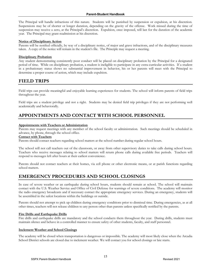The Principal will handle infractions of this nature. Students will be punished by suspension or expulsion, at his discretion. Suspensions may be of shorter or longer duration, depending on the gravity of the offense. Work missed during the time of suspension may receive a zero, at the Principal's discretion. Expulsion, once imposed, will last for the duration of the academic year. The Principal may grant readmission at his discretion.

#### **Notice of Disciplinary Action**

Parents will be notified officially, by way of a disciplinary notice, of major and grave infractions, and of the disciplinary measures taken. A copy of the notice will remain in the student's file. The Principle may request a meeting.

#### **Disciplinary Probation**

Any student demonstrating consistently poor conduct will be placed on disciplinary probation by the Principal for a designated period of time. While on disciplinary probation, a student is ineligible to participate in any extra-curricular activities. If a student in a probationary status shows no substantial improvement in behavior, his or her parents will meet with the Principal to determine a proper course of action, which may include expulsion.

### **FIELD TRIPS**

Field trips can provide meaningful and enjoyable learning experiences for students. The school will inform parents of field trips throughout the year.

Field trips are a student privilege and not a right. Students may be denied field trip privileges if they are not performing well academically and behaviorally.

# **APPOINTMENTS AND CONTACT WITH SCHOOL PERSONNEL**

#### **Appointments with Teachers or Administration**

Parents may request meetings with any member of the school faculty or administration. Such meetings should be scheduled in advance, by phone, through the school office.

#### **Contact with Teachers**

Parents should contact teachers regarding school matters at the school number during regular school hours.

The school will not call teachers out of the classroom, or away from other supervisory duties to take calls during school hours. Teachers who receive messages relating to school matters will return phone calls during available free periods. Teachers will respond to messages left after hours at their earliest convenience.

Parents should not contact teachers at their homes, via cell phone or other electronic means, or at parish functions regarding school matters.

# **EMERGENCY PROCEDURES AND SCHOOL CLOSINGS**

In case of severe weather or an earthquake during school hours, students should remain at school. The school will maintain contact with the U.S. Weather Service and Office of Civil Defense for warnings of severe conditions. The academy will monitor the radio emergency broadcasts and if necessary contact the appropriate emergency services. During an emergency, students will be assembled in the safest locations within the buildings or outside.

Parents should not attempt to pick up children during emergency conditions prior to dismissal time. During emergencies, as at all other times, teachers will not release children to any person other than parents unless specifically notified by the parents.

#### **Fire Drills and Earthquake Drills**

Fire drills and earthquake drills are mandatory and the school conducts them throughout the year. During drills, students must maintain silence and behave in a controlled manner to ensure safety of other students, faculty, and staff personnel.

#### **Inclement Weather and School Closings**

The academy will be closed when transportation is dangerous or impossible. The academy will most likely close when the Arcadia School District schools are closed due to inclement weather. We will contact you for school closings or late starts.